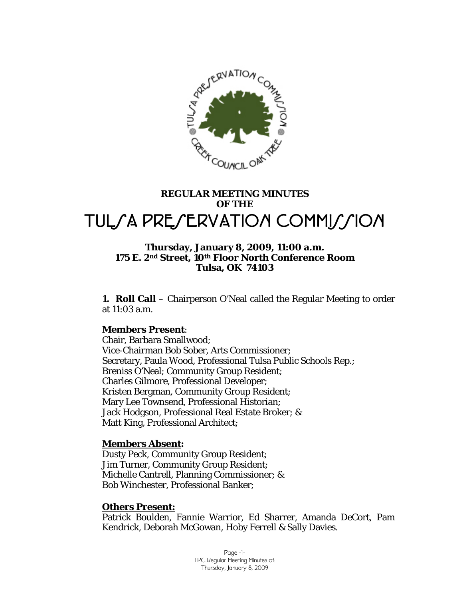

# **REGULAR MEETING MINUTES OF THE**  TULSA PRESERVATION COMMISSION

#### **Thursday, January 8, 2009, 11:00 a.m. 175 E. 2nd Street, 10th Floor North Conference Room Tulsa, OK 74103**

**1. Roll Call** – Chairperson O'Neal called the Regular Meeting to order at 11:03 a.m.

#### **Members Present**:

Chair, Barbara Smallwood; Vice-Chairman Bob Sober, Arts Commissioner; Secretary, Paula Wood, Professional Tulsa Public Schools Rep.; Breniss O'Neal; Community Group Resident; Charles Gilmore, Professional Developer; Kristen Bergman, Community Group Resident; Mary Lee Townsend, Professional Historian; Jack Hodgson, Professional Real Estate Broker; & Matt King, Professional Architect;

#### **Members Absent:**

Dusty Peck, Community Group Resident; Jim Turner, Community Group Resident; Michelle Cantrell, Planning Commissioner; & Bob Winchester, Professional Banker;

#### **Others Present:**

Patrick Boulden, Fannie Warrior, Ed Sharrer, Amanda DeCort, Pam Kendrick, Deborah McGowan, Hoby Ferrell & Sally Davies.

> Page -1- TPC Regular Meeting Minutes of: Thursday, January 8, 2009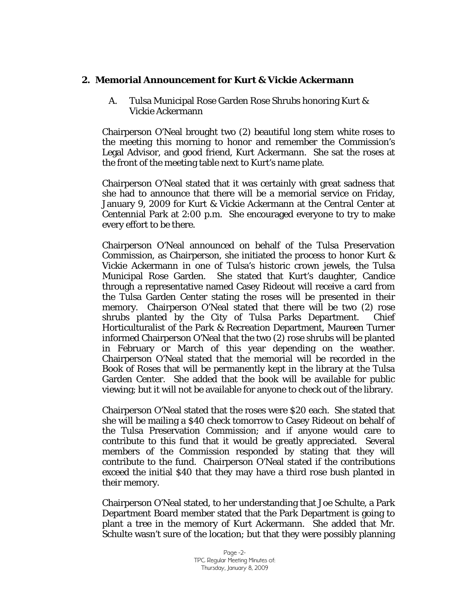### **2. Memorial Announcement for Kurt & Vickie Ackermann**

 A. Tulsa Municipal Rose Garden Rose Shrubs honoring Kurt & Vickie Ackermann

Chairperson O'Neal brought two (2) beautiful long stem white roses to the meeting this morning to honor and remember the Commission's Legal Advisor, and good friend, Kurt Ackermann. She sat the roses at the front of the meeting table next to Kurt's name plate.

Chairperson O'Neal stated that it was certainly with great sadness that she had to announce that there will be a memorial service on Friday, January 9, 2009 for Kurt & Vickie Ackermann at the Central Center at Centennial Park at 2:00 p.m. She encouraged everyone to try to make every effort to be there.

Chairperson O'Neal announced on behalf of the Tulsa Preservation Commission, as Chairperson, she initiated the process to honor Kurt & Vickie Ackermann in one of Tulsa's historic crown jewels, the Tulsa Municipal Rose Garden. She stated that Kurt's daughter, Candice through a representative named Casey Rideout will receive a card from the Tulsa Garden Center stating the roses will be presented in their memory. Chairperson O'Neal stated that there will be two (2) rose shrubs planted by the City of Tulsa Parks Department. Chief Horticulturalist of the Park & Recreation Department, Maureen Turner informed Chairperson O'Neal that the two (2) rose shrubs will be planted in February or March of this year depending on the weather. Chairperson O'Neal stated that the memorial will be recorded in the Book of Roses that will be permanently kept in the library at the Tulsa Garden Center. She added that the book will be available for public viewing; but it will not be available for anyone to check out of the library.

Chairperson O'Neal stated that the roses were \$20 each. She stated that she will be mailing a \$40 check tomorrow to Casey Rideout on behalf of the Tulsa Preservation Commission; and if anyone would care to contribute to this fund that it would be greatly appreciated. Several members of the Commission responded by stating that they will contribute to the fund. Chairperson O'Neal stated if the contributions exceed the initial \$40 that they may have a third rose bush planted in their memory.

Chairperson O'Neal stated, to her understanding that Joe Schulte, a Park Department Board member stated that the Park Department is going to plant a tree in the memory of Kurt Ackermann. She added that Mr. Schulte wasn't sure of the location; but that they were possibly planning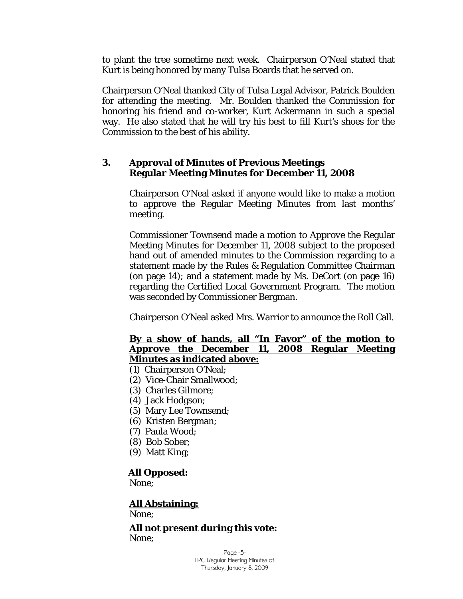to plant the tree sometime next week. Chairperson O'Neal stated that Kurt is being honored by many Tulsa Boards that he served on.

Chairperson O'Neal thanked City of Tulsa Legal Advisor, Patrick Boulden for attending the meeting. Mr. Boulden thanked the Commission for honoring his friend and co-worker, Kurt Ackermann in such a special way. He also stated that he will try his best to fill Kurt's shoes for the Commission to the best of his ability.

### **3. Approval of Minutes of Previous Meetings Regular Meeting Minutes for December 11, 2008**

Chairperson O'Neal asked if anyone would like to make a motion to approve the Regular Meeting Minutes from last months' meeting.

Commissioner Townsend made a motion to *Approve* the Regular Meeting Minutes for December 11, 2008 subject to the proposed hand out of amended minutes to the Commission regarding to a statement made by the Rules & Regulation Committee Chairman (on page 14); and a statement made by Ms. DeCort (on page 16) regarding the Certified Local Government Program. The motion was seconded by Commissioner Bergman.

Chairperson O'Neal asked Mrs. Warrior to announce the Roll Call.

## **By a show of hands, all "In Favor" of the motion to**  *Approve* **the December 11, 2008 Regular Meeting Minutes as indicated above:**

- (1) Chairperson O'Neal;
- (2) Vice-Chair Smallwood;
- (3) Charles Gilmore;
- (4) Jack Hodgson;
- (5) Mary Lee Townsend;
- (6) Kristen Bergman;
- (7) Paula Wood;
- (8) Bob Sober;
- (9) Matt King;

#### **All Opposed:**

None;

#### **All Abstaining:**

None;

#### **All not present during this vote:** None;

Page -3- TPC Regular Meeting Minutes of: Thursday, January 8, 2009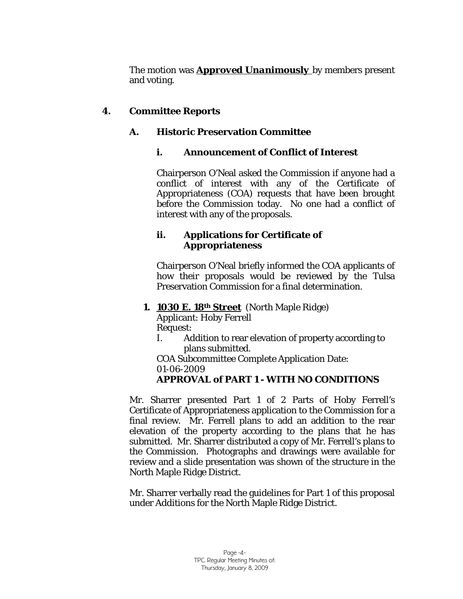The motion was *Approved Unanimously* by members present and voting.

# **4. Committee Reports**

# **A. Historic Preservation Committee**

# **i. Announcement of Conflict of Interest**

Chairperson O'Neal asked the Commission if anyone had a conflict of interest with any of the Certificate of Appropriateness (COA) requests that have been brought before the Commission today. No one had a conflict of interest with any of the proposals.

## **ii. Applications for Certificate of Appropriateness**

Chairperson O'Neal briefly informed the COA applicants of how their proposals would be reviewed by the Tulsa Preservation Commission for a final determination.

# **1. 1030 E. 18th Street** (North Maple Ridge)

Applicant: Hoby Ferrell Request:

I. Addition to rear elevation of property according to plans submitted.

COA Subcommittee Complete Application Date: 01-06-2009

# *APPROVAL of PART 1 - WITH NO CONDITIONS*

Mr. Sharrer presented Part 1 of 2 Parts of Hoby Ferrell's Certificate of Appropriateness application to the Commission for a final review. Mr. Ferrell plans to add an addition to the rear elevation of the property according to the plans that he has submitted. Mr. Sharrer distributed a copy of Mr. Ferrell's plans to the Commission. Photographs and drawings were available for review and a slide presentation was shown of the structure in the North Maple Ridge District.

Mr. Sharrer verbally read the guidelines for Part 1 of this proposal under *Additions* for the North Maple Ridge District.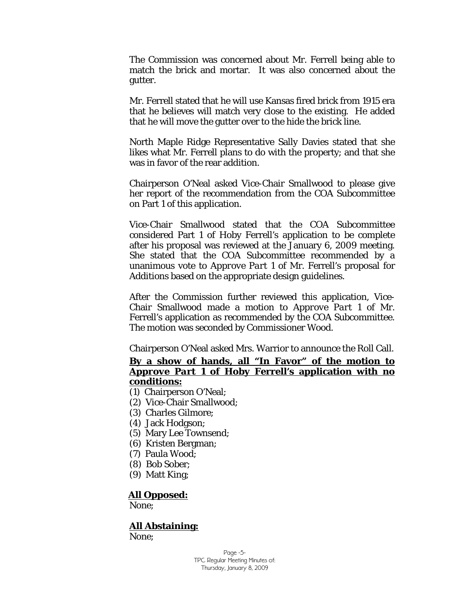The Commission was concerned about Mr. Ferrell being able to match the brick and mortar. It was also concerned about the gutter.

Mr. Ferrell stated that he will use Kansas fired brick from 1915 era that he believes will match very close to the existing. He added that he will move the gutter over to the hide the brick line.

North Maple Ridge Representative Sally Davies stated that she likes what Mr. Ferrell plans to do with the property; and that she was in favor of the rear addition.

Chairperson O'Neal asked Vice-Chair Smallwood to please give her report of the recommendation from the COA Subcommittee on Part 1 of this application.

Vice-Chair Smallwood stated that the COA Subcommittee considered Part 1 of Hoby Ferrell's application to be complete after his proposal was reviewed at the January 6, 2009 meeting. She stated that the COA Subcommittee recommended by a unanimous vote to *Approve Part 1* of Mr. Ferrell's proposal for *Additions* based on the appropriate design guidelines.

After the Commission further reviewed this application, Vice-Chair Smallwood made a motion to *Approve Part 1* of Mr. Ferrell's application as recommended by the COA Subcommittee. The motion was seconded by Commissioner Wood.

Chairperson O'Neal asked Mrs. Warrior to announce the Roll Call.

#### **By a show of hands, all "In Favor" of the motion to**  *Approve Part 1* **of Hoby Ferrell's application with no conditions:**

- (1) Chairperson O'Neal;
- (2) Vice-Chair Smallwood;
- (3) Charles Gilmore;
- (4) Jack Hodgson;
- (5) Mary Lee Townsend;
- (6) Kristen Bergman;
- (7) Paula Wood;
- (8) Bob Sober;
- (9) Matt King;

#### **All Opposed:**

None;

#### **All Abstaining:**

None;

Page -5- TPC Regular Meeting Minutes of: Thursday, January 8, 2009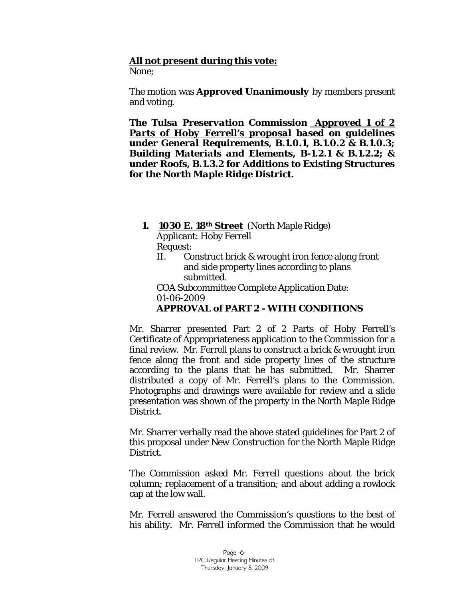# **All not present during this vote:**

None;

The motion was *Approved Unanimously* by members present and voting.

*The Tulsa Preservation Commission Approved 1 of 2 Parts of Hoby Ferrell's proposal based on guidelines under General Requirements, B.1.0.1, B.1.0.2 & B.1.0.3; Building Materials and Elements, B-1.2.1 & B.1.2.2; & under Roofs, B.1.3.2 for Additions to Existing Structures for the North Maple Ridge District.*

 **1. 1030 E. 18th Street** (North Maple Ridge) Applicant: Hoby Ferrell

Request:

II. Construct brick & wrought iron fence along front and side property lines according to plans submitted.

COA Subcommittee Complete Application Date: 01-06-2009 *APPROVAL of PART 2 - WITH CONDITIONS* 

Mr. Sharrer presented Part 2 of 2 Parts of Hoby Ferrell's Certificate of Appropriateness application to the Commission for a final review. Mr. Ferrell plans to construct a brick & wrought iron fence along the front and side property lines of the structure according to the plans that he has submitted. Mr. Sharrer distributed a copy of Mr. Ferrell's plans to the Commission. Photographs and drawings were available for review and a slide presentation was shown of the property in the North Maple Ridge District.

Mr. Sharrer verbally read the above stated guidelines for Part 2 of this proposal under *New Construction* for the North Maple Ridge District.

The Commission asked Mr. Ferrell questions about the brick column; replacement of a transition; and about adding a rowlock cap at the low wall.

Mr. Ferrell answered the Commission's questions to the best of his ability. Mr. Ferrell informed the Commission that he would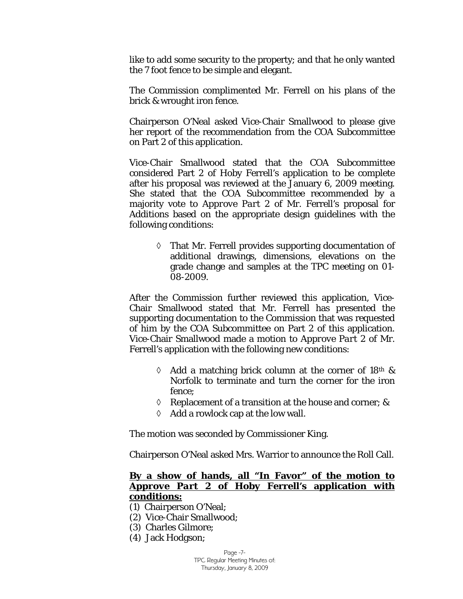like to add some security to the property; and that he only wanted the 7 foot fence to be simple and elegant.

The Commission complimented Mr. Ferrell on his plans of the brick & wrought iron fence.

Chairperson O'Neal asked Vice-Chair Smallwood to please give her report of the recommendation from the COA Subcommittee on Part 2 of this application.

Vice-Chair Smallwood stated that the COA Subcommittee considered Part 2 of Hoby Ferrell's application to be complete after his proposal was reviewed at the January 6, 2009 meeting. She stated that the COA Subcommittee recommended by a majority vote to *Approve Part 2* of Mr. Ferrell's proposal for *Additions* based on the appropriate design guidelines with the following conditions:

> ◊ That Mr. Ferrell provides supporting documentation of additional drawings, dimensions, elevations on the grade change and samples at the TPC meeting on 01- 08-2009.

After the Commission further reviewed this application, Vice-Chair Smallwood stated that Mr. Ferrell has presented the supporting documentation to the Commission that was requested of him by the COA Subcommittee on Part 2 of this application. Vice-Chair Smallwood made a motion to *Approve Part 2* of Mr. Ferrell's application with the following new conditions:

- $\Diamond$  Add a matching brick column at the corner of 18<sup>th</sup> & Norfolk to terminate and turn the corner for the iron fence;
- ◊ Replacement of a transition at the house and corner; &
- ◊ Add a rowlock cap at the low wall.

The motion was seconded by Commissioner King.

Chairperson O'Neal asked Mrs. Warrior to announce the Roll Call.

#### **By a show of hands, all "In Favor" of the motion to**  *Approve Part 2* **of Hoby Ferrell's application with conditions:**

- (1) Chairperson O'Neal;
- (2) Vice-Chair Smallwood;
- (3) Charles Gilmore;
- (4) Jack Hodgson;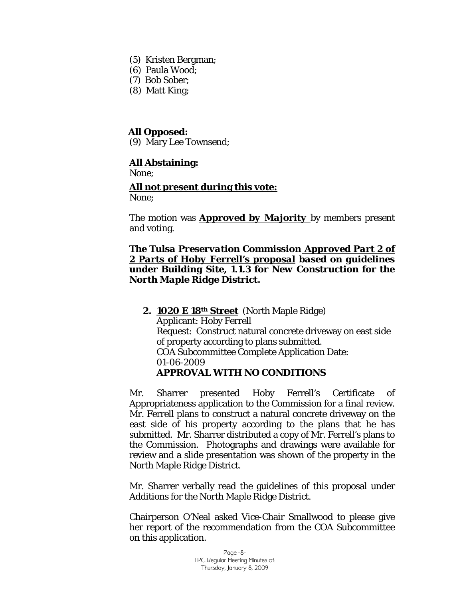- (5) Kristen Bergman;
- (6) Paula Wood;
- (7) Bob Sober;
- (8) Matt King;

### **All Opposed:**

(9) Mary Lee Townsend;

## **All Abstaining:**

None;

#### **All not present during this vote:** None;

The motion was *Approved by Majority* by members present and voting.

#### *The Tulsa Preservation Commission Approved Part 2 of 2 Parts of Hoby Ferrell's proposal based on guidelines under Building Site, 1.1.3 for New Construction for the North Maple Ridge District.*

#### **2. 1020 E 18th Street** (North Maple Ridge) Applicant: Hoby Ferrell Request: Construct natural concrete driveway on east side of property according to plans submitted. COA Subcommittee Complete Application Date: 01-06-2009 *APPROVAL WITH NO CONDITIONS*

Mr. Sharrer presented Hoby Ferrell's Certificate of Appropriateness application to the Commission for a final review. Mr. Ferrell plans to construct a natural concrete driveway on the east side of his property according to the plans that he has submitted. Mr. Sharrer distributed a copy of Mr. Ferrell's plans to the Commission. Photographs and drawings were available for review and a slide presentation was shown of the property in the North Maple Ridge District.

Mr. Sharrer verbally read the guidelines of this proposal under *Additions* for the North Maple Ridge District.

Chairperson O'Neal asked Vice-Chair Smallwood to please give her report of the recommendation from the COA Subcommittee on this application.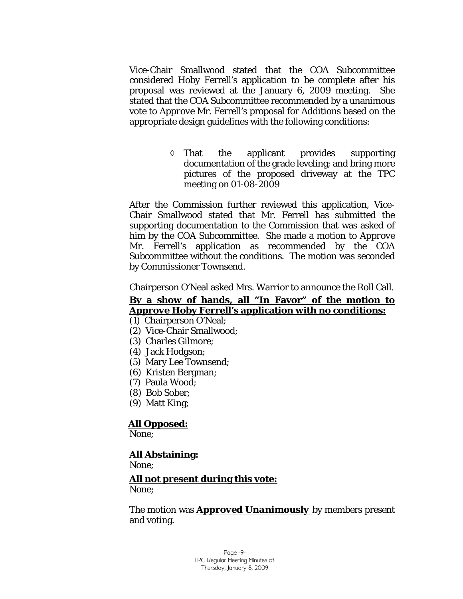Vice-Chair Smallwood stated that the COA Subcommittee considered Hoby Ferrell's application to be complete after his proposal was reviewed at the January 6, 2009 meeting. She stated that the COA Subcommittee recommended by a unanimous vote to *Approve* Mr. Ferrell's proposal for *Additions* based on the appropriate design guidelines with the following conditions:

> ◊ That the applicant provides supporting documentation of the grade leveling; and bring more pictures of the proposed driveway at the TPC meeting on 01-08-2009

After the Commission further reviewed this application, Vice-Chair Smallwood stated that Mr. Ferrell has submitted the supporting documentation to the Commission that was asked of him by the COA Subcommittee. She made a motion to *Approve*  Mr. Ferrell's application as recommended by the COA Subcommittee without the conditions. The motion was seconded by Commissioner Townsend.

Chairperson O'Neal asked Mrs. Warrior to announce the Roll Call.

# **By a show of hands, all "In Favor" of the motion to**  *Approve* **Hoby Ferrell's application with no conditions:**

- (1) Chairperson O'Neal;
- (2) Vice-Chair Smallwood;
- (3) Charles Gilmore;
- (4) Jack Hodgson;
- (5) Mary Lee Townsend;
- (6) Kristen Bergman;
- (7) Paula Wood;
- (8) Bob Sober;
- (9) Matt King;

# **All Opposed:**

None;

# **All Abstaining:**

None;

# **All not present during this vote:**

None;

The motion was *Approved Unanimously* by members present and voting.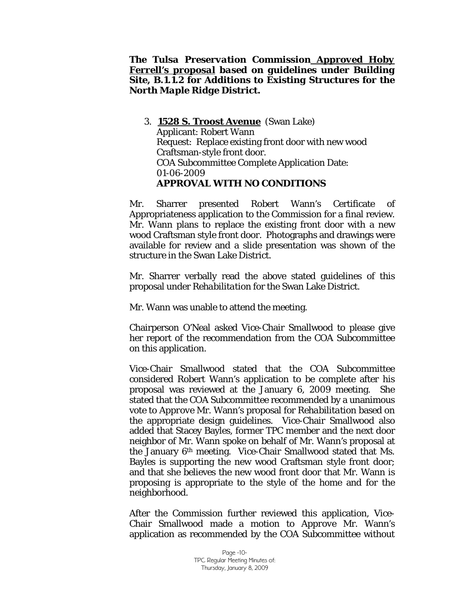#### *The Tulsa Preservation Commission Approved Hoby Ferrell's proposal based on guidelines under Building Site, B.1.1.2 for Additions to Existing Structures for the North Maple Ridge District.*

3. **1528 S. Troost Avenue** (Swan Lake) Applicant: Robert Wann Request: Replace existing front door with new wood Craftsman-style front door. COA Subcommittee Complete Application Date: 01-06-2009 *APPROVAL WITH NO CONDITIONS*

Mr. Sharrer presented Robert Wann's Certificate of Appropriateness application to the Commission for a final review. Mr. Wann plans to replace the existing front door with a new wood Craftsman style front door. Photographs and drawings were available for review and a slide presentation was shown of the structure in the Swan Lake District.

Mr. Sharrer verbally read the above stated guidelines of this proposal under *Rehabilitation* for the Swan Lake District.

Mr. Wann was unable to attend the meeting.

Chairperson O'Neal asked Vice-Chair Smallwood to please give her report of the recommendation from the COA Subcommittee on this application.

Vice-Chair Smallwood stated that the COA Subcommittee considered Robert Wann's application to be complete after his proposal was reviewed at the January 6, 2009 meeting. She stated that the COA Subcommittee recommended by a unanimous vote to *Approve* Mr. Wann's proposal for *Rehabilitation* based on the appropriate design guidelines. Vice-Chair Smallwood also added that Stacey Bayles, former TPC member and the next door neighbor of Mr. Wann spoke on behalf of Mr. Wann's proposal at the January 6th meeting. Vice-Chair Smallwood stated that Ms. Bayles is supporting the new wood Craftsman style front door; and that she believes the new wood front door that Mr. Wann is proposing is appropriate to the style of the home and for the neighborhood.

After the Commission further reviewed this application, Vice-Chair Smallwood made a motion to *Approve* Mr. Wann's application as recommended by the COA Subcommittee without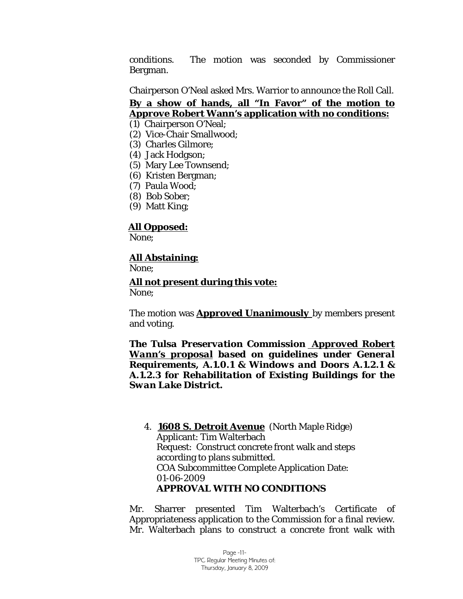conditions. The motion was seconded by Commissioner Bergman.

Chairperson O'Neal asked Mrs. Warrior to announce the Roll Call.

# **By a show of hands, all "In Favor" of the motion to**  *Approve* **Robert Wann's application with no conditions:**

- (1) Chairperson O'Neal;
- (2) Vice-Chair Smallwood;
- (3) Charles Gilmore;
- (4) Jack Hodgson;
- (5) Mary Lee Townsend;
- (6) Kristen Bergman;
- (7) Paula Wood;
- (8) Bob Sober;
- (9) Matt King;

## **All Opposed:**

None;

#### **All Abstaining:**

None;

#### **All not present during this vote:**

None;

The motion was *Approved Unanimously* by members present and voting.

*The Tulsa Preservation Commission Approved Robert Wann's proposal based on guidelines under General Requirements, A.1.0.1 & Windows and Doors A.1.2.1 & A.1.2.3 for Rehabilitation of Existing Buildings for the Swan Lake District.*

4. **1608 S. Detroit Avenue** (North Maple Ridge) Applicant: Tim Walterbach Request: Construct concrete front walk and steps according to plans submitted. COA Subcommittee Complete Application Date: 01-06-2009 *APPROVAL WITH NO CONDITIONS*

Mr. Sharrer presented Tim Walterbach's Certificate of Appropriateness application to the Commission for a final review. Mr. Walterbach plans to construct a concrete front walk with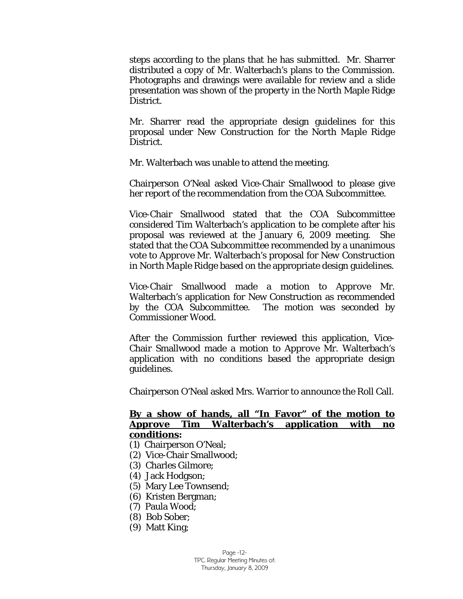steps according to the plans that he has submitted. Mr. Sharrer distributed a copy of Mr. Walterbach's plans to the Commission. Photographs and drawings were available for review and a slide presentation was shown of the property in the North Maple Ridge District.

Mr. Sharrer read the appropriate design guidelines for this proposal under *New Construction for the North Maple Ridge District.* 

Mr. Walterbach was unable to attend the meeting.

Chairperson O'Neal asked Vice-Chair Smallwood to please give her report of the recommendation from the COA Subcommittee.

Vice-Chair Smallwood stated that the COA Subcommittee considered Tim Walterbach's application to be complete after his proposal was reviewed at the January 6, 2009 meeting. She stated that the COA Subcommittee recommended by a unanimous vote to *Approve* Mr. Walterbach's proposal for *New Construction in North Maple Ridge* based on the appropriate design guidelines.

Vice-Chair Smallwood made a motion to *Approve* Mr. Walterbach's application for New Construction as recommended by the COA Subcommittee. The motion was seconded by Commissioner Wood.

After the Commission further reviewed this application, Vice-Chair Smallwood made a motion to *Approve* Mr. Walterbach's application with no conditions based the appropriate design guidelines.

Chairperson O'Neal asked Mrs. Warrior to announce the Roll Call.

#### **By a show of hands, all "In Favor" of the motion to**  *Approve* **Tim Walterbach's application with no conditions:**

- (1) Chairperson O'Neal;
- (2) Vice-Chair Smallwood;
- (3) Charles Gilmore;
- (4) Jack Hodgson;
- (5) Mary Lee Townsend;
- (6) Kristen Bergman;
- (7) Paula Wood;
- (8) Bob Sober;
- (9) Matt King;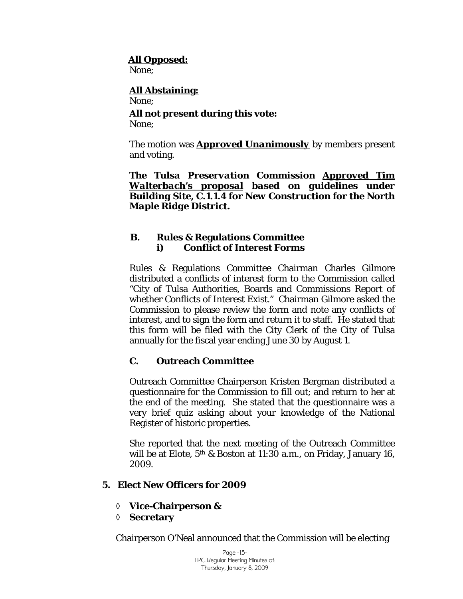## **All Opposed:**

None;

#### **All Abstaining:** None; **All not present during this vote:** None;

The motion was *Approved Unanimously* by members present and voting.

*The Tulsa Preservation Commission Approved Tim Walterbach's proposal based on guidelines under Building Site, C.1.1.4 for New Construction for the North Maple Ridge District.*

# **B. Rules & Regulations Committee i) Conflict of Interest Forms**

Rules & Regulations Committee Chairman Charles Gilmore distributed a conflicts of interest form to the Commission called "City of Tulsa Authorities, Boards and Commissions Report of whether Conflicts of Interest Exist." Chairman Gilmore asked the Commission to please review the form and note any conflicts of interest, and to sign the form and return it to staff. He stated that this form will be filed with the City Clerk of the City of Tulsa annually for the fiscal year ending June 30 by August 1.

# **C. Outreach Committee**

Outreach Committee Chairperson Kristen Bergman distributed a questionnaire for the Commission to fill out; and return to her at the end of the meeting. She stated that the questionnaire was a very brief quiz asking about your knowledge of the National Register of historic properties.

She reported that the next meeting of the Outreach Committee will be at Elote,  $5<sup>th</sup>$  & Boston at 11:30 a.m., on Friday, January 16, 2009.

# **5. Elect New Officers for 2009**

- ◊ **Vice-Chairperson &**
- ◊ **Secretary**

Chairperson O'Neal announced that the Commission will be electing

Page -13- TPC Regular Meeting Minutes of: Thursday, January 8, 2009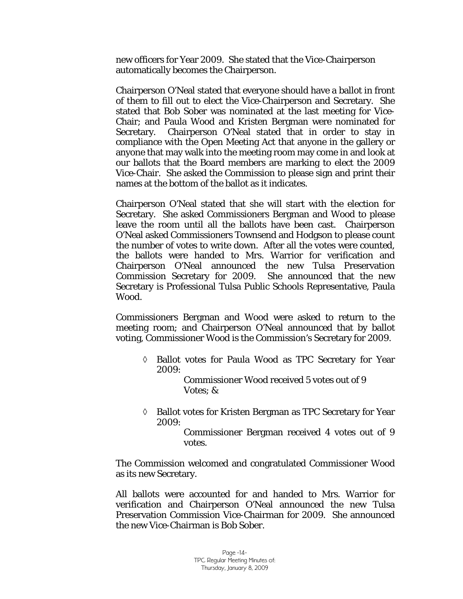new officers for Year 2009. She stated that the Vice-Chairperson automatically becomes the Chairperson.

Chairperson O'Neal stated that everyone should have a ballot in front of them to fill out to elect the Vice-Chairperson and Secretary. She stated that Bob Sober was nominated at the last meeting for Vice-Chair; and Paula Wood and Kristen Bergman were nominated for Secretary. Chairperson O'Neal stated that in order to stay in compliance with the Open Meeting Act that anyone in the gallery or anyone that may walk into the meeting room may come in and look at our ballots that the Board members are marking to elect the 2009 Vice-Chair. She asked the Commission to please sign and print their names at the bottom of the ballot as it indicates.

Chairperson O'Neal stated that she will start with the election for Secretary. She asked Commissioners Bergman and Wood to please leave the room until all the ballots have been cast. Chairperson O'Neal asked Commissioners Townsend and Hodgson to please count the number of votes to write down. After all the votes were counted, the ballots were handed to Mrs. Warrior for verification and Chairperson O'Neal announced the new Tulsa Preservation Commission Secretary for 2009. She announced that the new Secretary is Professional Tulsa Public Schools Representative, Paula Wood.

Commissioners Bergman and Wood were asked to return to the meeting room; and Chairperson O'Neal announced that by ballot voting, Commissioner Wood is the Commission's Secretary for 2009.

◊ Ballot votes for Paula Wood as TPC Secretary for Year 2009:

> Commissioner Wood received 5 votes out of 9 Votes; &

◊ Ballot votes for Kristen Bergman as TPC Secretary for Year 2009:

> Commissioner Bergman received 4 votes out of 9 votes.

The Commission welcomed and congratulated Commissioner Wood as its new Secretary.

All ballots were accounted for and handed to Mrs. Warrior for verification and Chairperson O'Neal announced the new Tulsa Preservation Commission Vice-Chairman for 2009. She announced the new Vice-Chairman is Bob Sober.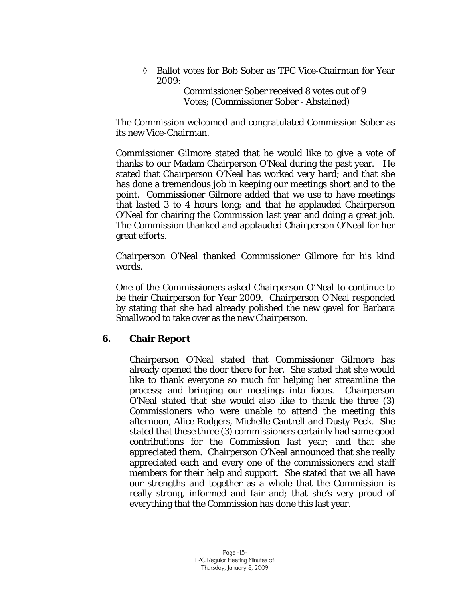◊ Ballot votes for Bob Sober as TPC Vice-Chairman for Year 2009:

> Commissioner Sober received 8 votes out of 9 Votes; (Commissioner Sober - Abstained)

The Commission welcomed and congratulated Commission Sober as its new Vice-Chairman.

Commissioner Gilmore stated that he would like to give a vote of thanks to our Madam Chairperson O'Neal during the past year. He stated that Chairperson O'Neal has worked very hard; and that she has done a tremendous job in keeping our meetings short and to the point. Commissioner Gilmore added that we use to have meetings that lasted 3 to 4 hours long; and that he applauded Chairperson O'Neal for chairing the Commission last year and doing a great job. The Commission thanked and applauded Chairperson O'Neal for her great efforts.

Chairperson O'Neal thanked Commissioner Gilmore for his kind words.

One of the Commissioners asked Chairperson O'Neal to continue to be their Chairperson for Year 2009. Chairperson O'Neal responded by stating that she had already polished the new gavel for Barbara Smallwood to take over as the new Chairperson.

#### **6. Chair Report**

Chairperson O'Neal stated that Commissioner Gilmore has already opened the door there for her. She stated that she would like to thank everyone so much for helping her streamline the process; and bringing our meetings into focus. Chairperson O'Neal stated that she would also like to thank the three (3) Commissioners who were unable to attend the meeting this afternoon, Alice Rodgers, Michelle Cantrell and Dusty Peck. She stated that these three (3) commissioners certainly had some good contributions for the Commission last year; and that she appreciated them. Chairperson O'Neal announced that she really appreciated each and every one of the commissioners and staff members for their help and support. She stated that we all have our strengths and together as a whole that the Commission is really strong, informed and fair and; that she's very proud of everything that the Commission has done this last year.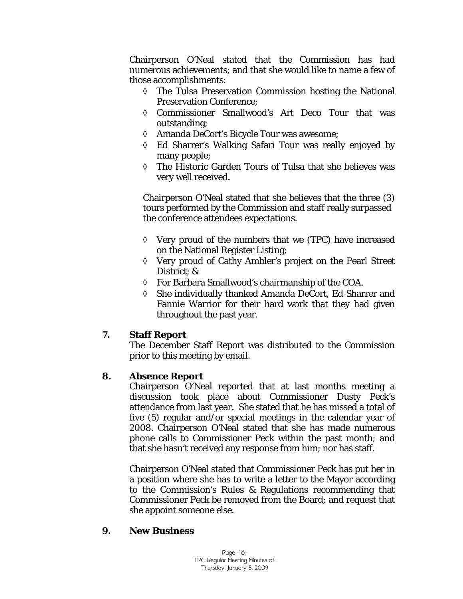Chairperson O'Neal stated that the Commission has had numerous achievements; and that she would like to name a few of those accomplishments:

- ◊ The Tulsa Preservation Commission hosting the National Preservation Conference;
- ◊ Commissioner Smallwood's Art Deco Tour that was outstanding;
- ◊ Amanda DeCort's Bicycle Tour was awesome;
- ◊ Ed Sharrer's Walking Safari Tour was really enjoyed by many people;
- ◊ The Historic Garden Tours of Tulsa that she believes was very well received.

Chairperson O'Neal stated that she believes that the three (3) tours performed by the Commission and staff really surpassed the conference attendees expectations.

- ◊ Very proud of the numbers that we (TPC) have increased on the National Register Listing;
- ◊ Very proud of Cathy Ambler's project on the Pearl Street District; &
- ◊ For Barbara Smallwood's chairmanship of the COA.
- ◊ She individually thanked Amanda DeCort, Ed Sharrer and Fannie Warrior for their hard work that they had given throughout the past year.

# **7. Staff Report**

The December Staff Report was distributed to the Commission prior to this meeting by email.

# **8. Absence Report**

Chairperson O'Neal reported that at last months meeting a discussion took place about Commissioner Dusty Peck's attendance from last year. She stated that he has missed a total of five (5) regular and/or special meetings in the calendar year of 2008. Chairperson O'Neal stated that she has made numerous phone calls to Commissioner Peck within the past month; and that she hasn't received any response from him; nor has staff.

Chairperson O'Neal stated that Commissioner Peck has put her in a position where she has to write a letter to the Mayor according to the Commission's Rules & Regulations recommending that Commissioner Peck be removed from the Board; and request that she appoint someone else.

#### **9. New Business**